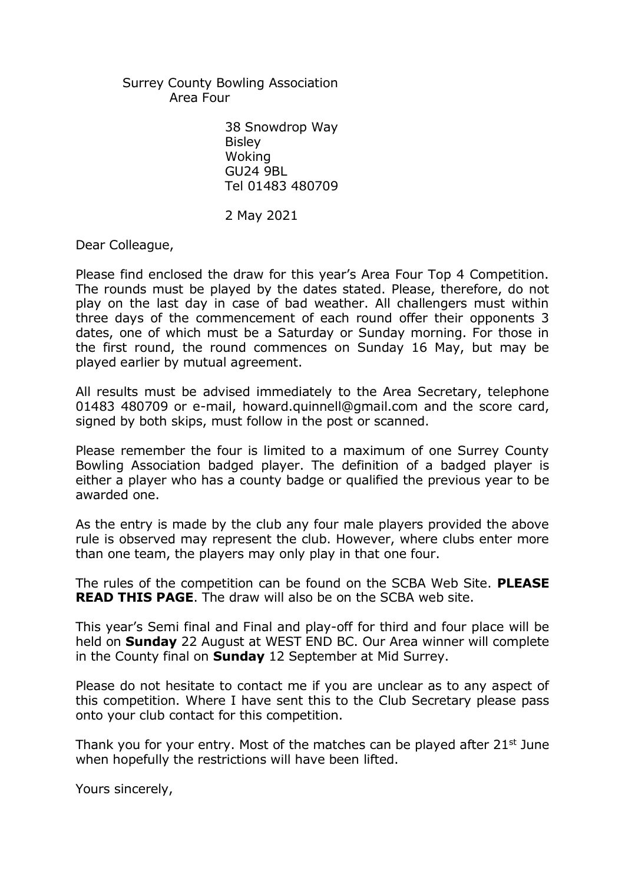Surrey County Bowling Association Area Four

> 38 Snowdrop Way **Bisley** Woking GU24 9BL Tel 01483 480709

2 May 2021

Dear Colleague,

Please find enclosed the draw for this year's Area Four Top 4 Competition. The rounds must be played by the dates stated. Please, therefore, do not play on the last day in case of bad weather. All challengers must within three days of the commencement of each round offer their opponents 3 dates, one of which must be a Saturday or Sunday morning. For those in the first round, the round commences on Sunday 16 May, but may be played earlier by mutual agreement.

All results must be advised immediately to the Area Secretary, telephone 01483 480709 or e-mail, howard.quinnell@gmail.com and the score card, signed by both skips, must follow in the post or scanned.

Please remember the four is limited to a maximum of one Surrey County Bowling Association badged player. The definition of a badged player is either a player who has a county badge or qualified the previous year to be awarded one.

As the entry is made by the club any four male players provided the above rule is observed may represent the club. However, where clubs enter more than one team, the players may only play in that one four.

The rules of the competition can be found on the SCBA Web Site. **PLEASE READ THIS PAGE**. The draw will also be on the SCBA web site.

This year's Semi final and Final and play-off for third and four place will be held on **Sunday** 22 August at WEST END BC. Our Area winner will complete in the County final on **Sunday** 12 September at Mid Surrey.

Please do not hesitate to contact me if you are unclear as to any aspect of this competition. Where I have sent this to the Club Secretary please pass onto your club contact for this competition.

Thank you for your entry. Most of the matches can be played after  $21<sup>st</sup>$  June when hopefully the restrictions will have been lifted.

Yours sincerely,